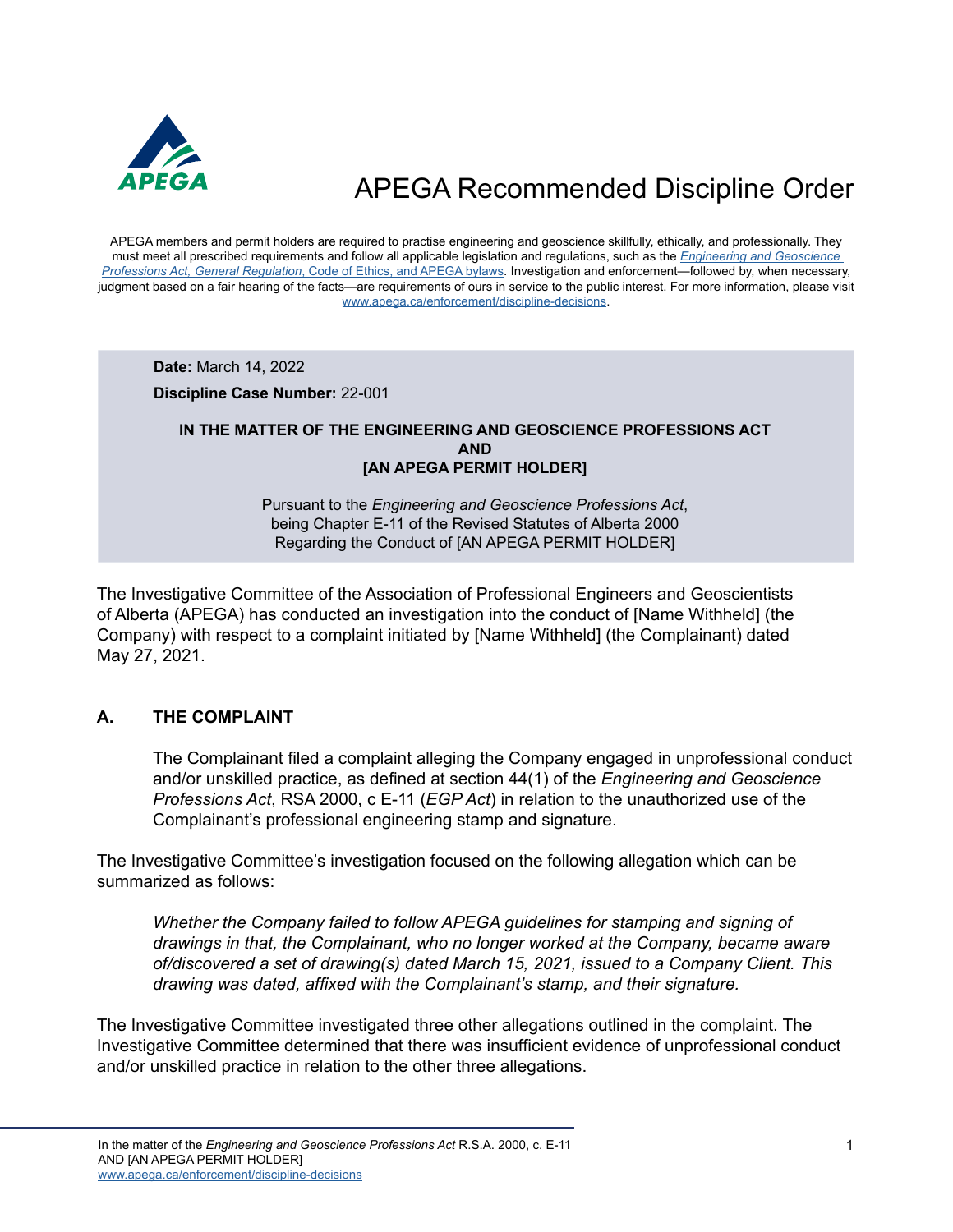

APEGA members and permit holders are required to practise engineering and geoscience skillfully, ethically, and professionally. They must meet all prescribed requirements and follow all applicable legislation and regulations, such as the *[Engineering and Geoscience](https://www.apega.ca/about-apega/publications/engineering-and-geoscience-professions-act)  Professions Act, General Regulation*[, Code of Ethics, and APEGA bylaws.](https://www.apega.ca/about-apega/publications/engineering-and-geoscience-professions-act) Investigation and enforcement—followed by, when necessary, judgment based on a fair hearing of the facts—are requirements of ours in service to the public interest. For more information, please visit [www.apega.ca/enforcement/discipline-decisions.](https://www.apega.ca/enforcement/discipline-decisions)

**Date:** March 14, 2022

**Discipline Case Number:** 22-001

#### **IN THE MATTER OF THE ENGINEERING AND GEOSCIENCE PROFESSIONS ACT AND [AN APEGA PERMIT HOLDER]**

Pursuant to the *Engineering and Geoscience Professions Act*, being Chapter E-11 of the Revised Statutes of Alberta 2000 Regarding the Conduct of [AN APEGA PERMIT HOLDER]

The Investigative Committee of the Association of Professional Engineers and Geoscientists of Alberta (APEGA) has conducted an investigation into the conduct of [Name Withheld] (the Company) with respect to a complaint initiated by [Name Withheld] (the Complainant) dated May 27, 2021.

### **A. THE COMPLAINT**

The Complainant filed a complaint alleging the Company engaged in unprofessional conduct and/or unskilled practice, as defined at section 44(1) of the *Engineering and Geoscience Professions Act*, RSA 2000, c E-11 (*EGP Act*) in relation to the unauthorized use of the Complainant's professional engineering stamp and signature.

The Investigative Committee's investigation focused on the following allegation which can be summarized as follows:

*Whether the Company failed to follow APEGA guidelines for stamping and signing of drawings in that, the Complainant, who no longer worked at the Company, became aware of/discovered a set of drawing(s) dated March 15, 2021, issued to a Company Client. This drawing was dated, affixed with the Complainant's stamp, and their signature.*

The Investigative Committee investigated three other allegations outlined in the complaint. The Investigative Committee determined that there was insufficient evidence of unprofessional conduct and/or unskilled practice in relation to the other three allegations.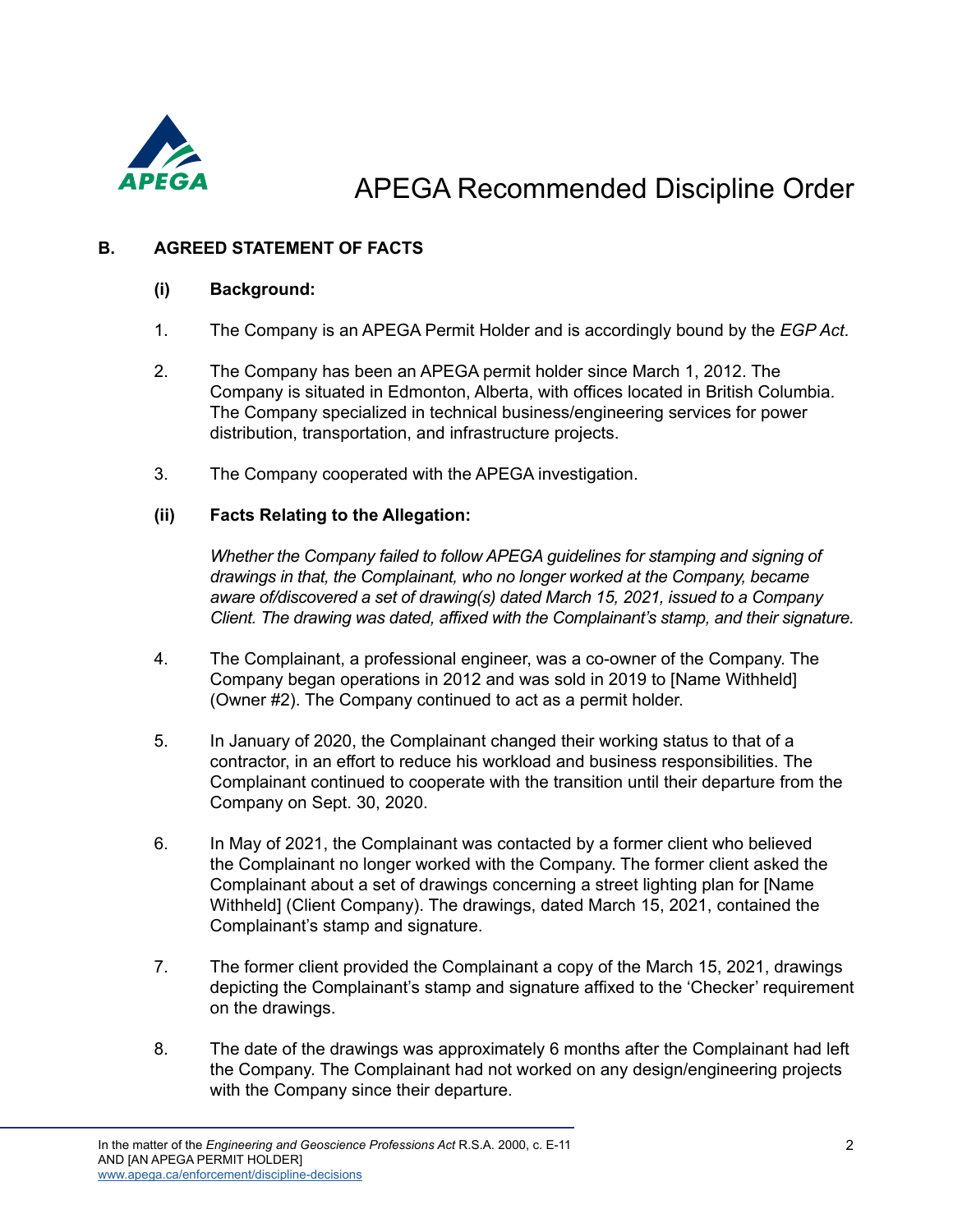

### **B. AGREED STATEMENT OF FACTS**

### **(i) Background:**

- 1. The Company is an APEGA Permit Holder and is accordingly bound by the *EGP Act*.
- 2. The Company has been an APEGA permit holder since March 1, 2012. The Company is situated in Edmonton, Alberta, with offices located in British Columbia. The Company specialized in technical business/engineering services for power distribution, transportation, and infrastructure projects.
- 3. The Company cooperated with the APEGA investigation.

#### **(ii) Facts Relating to the Allegation:**

*Whether the Company failed to follow APEGA guidelines for stamping and signing of drawings in that, the Complainant, who no longer worked at the Company, became aware of/discovered a set of drawing(s) dated March 15, 2021, issued to a Company Client. The drawing was dated, affixed with the Complainant's stamp, and their signature.*

- 4. The Complainant, a professional engineer, was a co-owner of the Company. The Company began operations in 2012 and was sold in 2019 to [Name Withheld] (Owner #2). The Company continued to act as a permit holder.
- 5. In January of 2020, the Complainant changed their working status to that of a contractor, in an effort to reduce his workload and business responsibilities. The Complainant continued to cooperate with the transition until their departure from the Company on Sept. 30, 2020.
- 6. In May of 2021, the Complainant was contacted by a former client who believed the Complainant no longer worked with the Company. The former client asked the Complainant about a set of drawings concerning a street lighting plan for [Name Withheld] (Client Company). The drawings, dated March 15, 2021, contained the Complainant's stamp and signature.
- 7. The former client provided the Complainant a copy of the March 15, 2021, drawings depicting the Complainant's stamp and signature affixed to the 'Checker' requirement on the drawings.
- 8. The date of the drawings was approximately 6 months after the Complainant had left the Company. The Complainant had not worked on any design/engineering projects with the Company since their departure.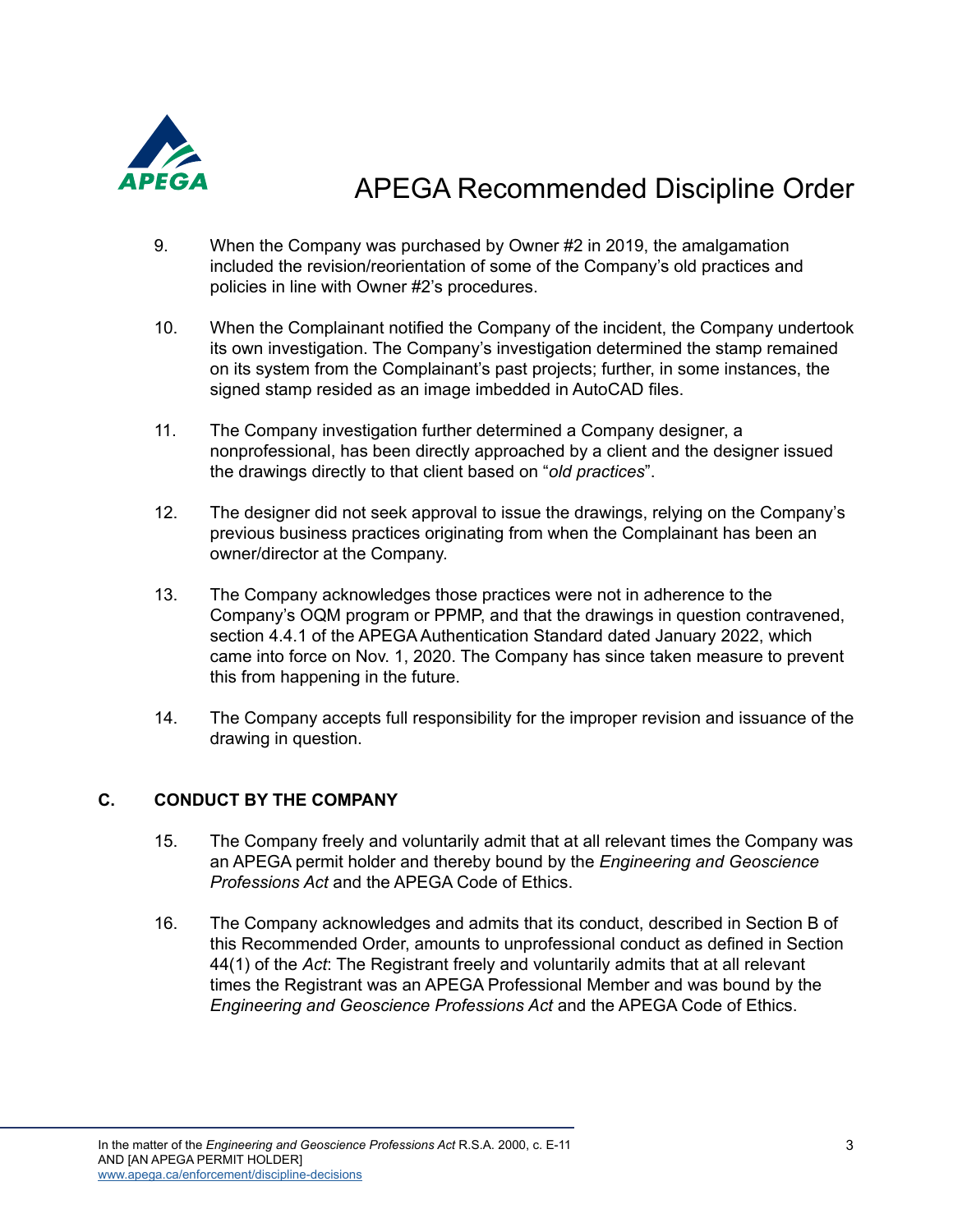

- 9. When the Company was purchased by Owner #2 in 2019, the amalgamation included the revision/reorientation of some of the Company's old practices and policies in line with Owner #2's procedures.
- 10. When the Complainant notified the Company of the incident, the Company undertook its own investigation. The Company's investigation determined the stamp remained on its system from the Complainant's past projects; further, in some instances, the signed stamp resided as an image imbedded in AutoCAD files.
- 11. The Company investigation further determined a Company designer, a nonprofessional, has been directly approached by a client and the designer issued the drawings directly to that client based on "*old practices*".
- 12. The designer did not seek approval to issue the drawings, relying on the Company's previous business practices originating from when the Complainant has been an owner/director at the Company.
- 13. The Company acknowledges those practices were not in adherence to the Company's OQM program or PPMP, and that the drawings in question contravened, section 4.4.1 of the APEGA Authentication Standard dated January 2022, which came into force on Nov. 1, 2020. The Company has since taken measure to prevent this from happening in the future.
- 14. The Company accepts full responsibility for the improper revision and issuance of the drawing in question.

### **C. CONDUCT BY THE COMPANY**

- 15. The Company freely and voluntarily admit that at all relevant times the Company was an APEGA permit holder and thereby bound by the *Engineering and Geoscience Professions Act* and the APEGA Code of Ethics.
- 16. The Company acknowledges and admits that its conduct, described in Section B of this Recommended Order, amounts to unprofessional conduct as defined in Section 44(1) of the *Act*: The Registrant freely and voluntarily admits that at all relevant times the Registrant was an APEGA Professional Member and was bound by the *Engineering and Geoscience Professions Act* and the APEGA Code of Ethics.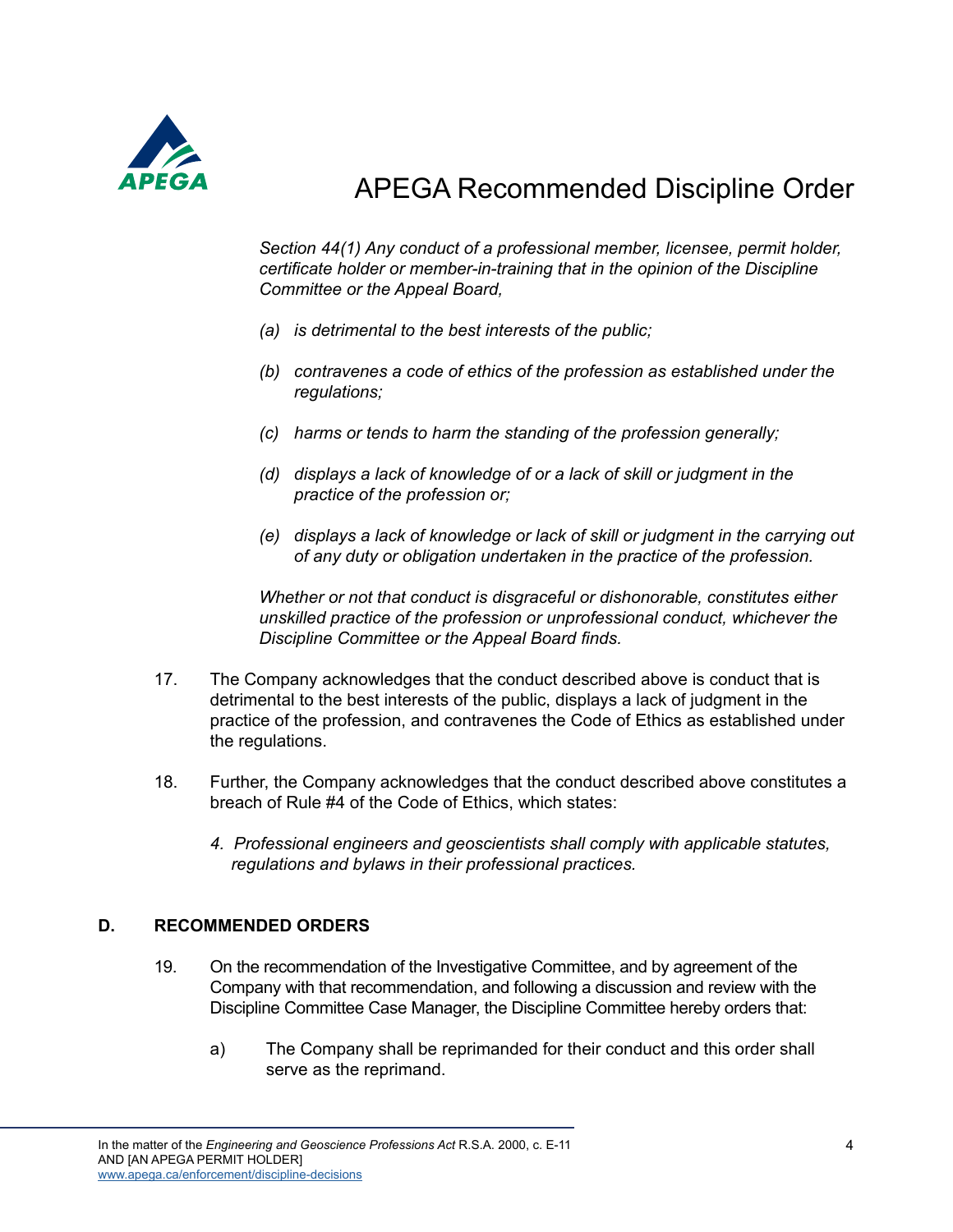

*Section 44(1) Any conduct of a professional member, licensee, permit holder, certificate holder or member-in-training that in the opinion of the Discipline Committee or the Appeal Board,* 

- *(a) is detrimental to the best interests of the public;*
- *(b) contravenes a code of ethics of the profession as established under the regulations;*
- *(c) harms or tends to harm the standing of the profession generally;*
- *(d) displays a lack of knowledge of or a lack of skill or judgment in the practice of the profession or;*
- *(e) displays a lack of knowledge or lack of skill or judgment in the carrying out of any duty or obligation undertaken in the practice of the profession.*

*Whether or not that conduct is disgraceful or dishonorable, constitutes either unskilled practice of the profession or unprofessional conduct, whichever the Discipline Committee or the Appeal Board finds.* 

- 17. The Company acknowledges that the conduct described above is conduct that is detrimental to the best interests of the public, displays a lack of judgment in the practice of the profession, and contravenes the Code of Ethics as established under the regulations.
- 18. Further, the Company acknowledges that the conduct described above constitutes a breach of Rule #4 of the Code of Ethics, which states:
	- *4. Professional engineers and geoscientists shall comply with applicable statutes, regulations and bylaws in their professional practices.*

### **D. RECOMMENDED ORDERS**

- 19. On the recommendation of the Investigative Committee, and by agreement of the Company with that recommendation, and following a discussion and review with the Discipline Committee Case Manager, the Discipline Committee hereby orders that:
	- a) The Company shall be reprimanded for their conduct and this order shall serve as the reprimand.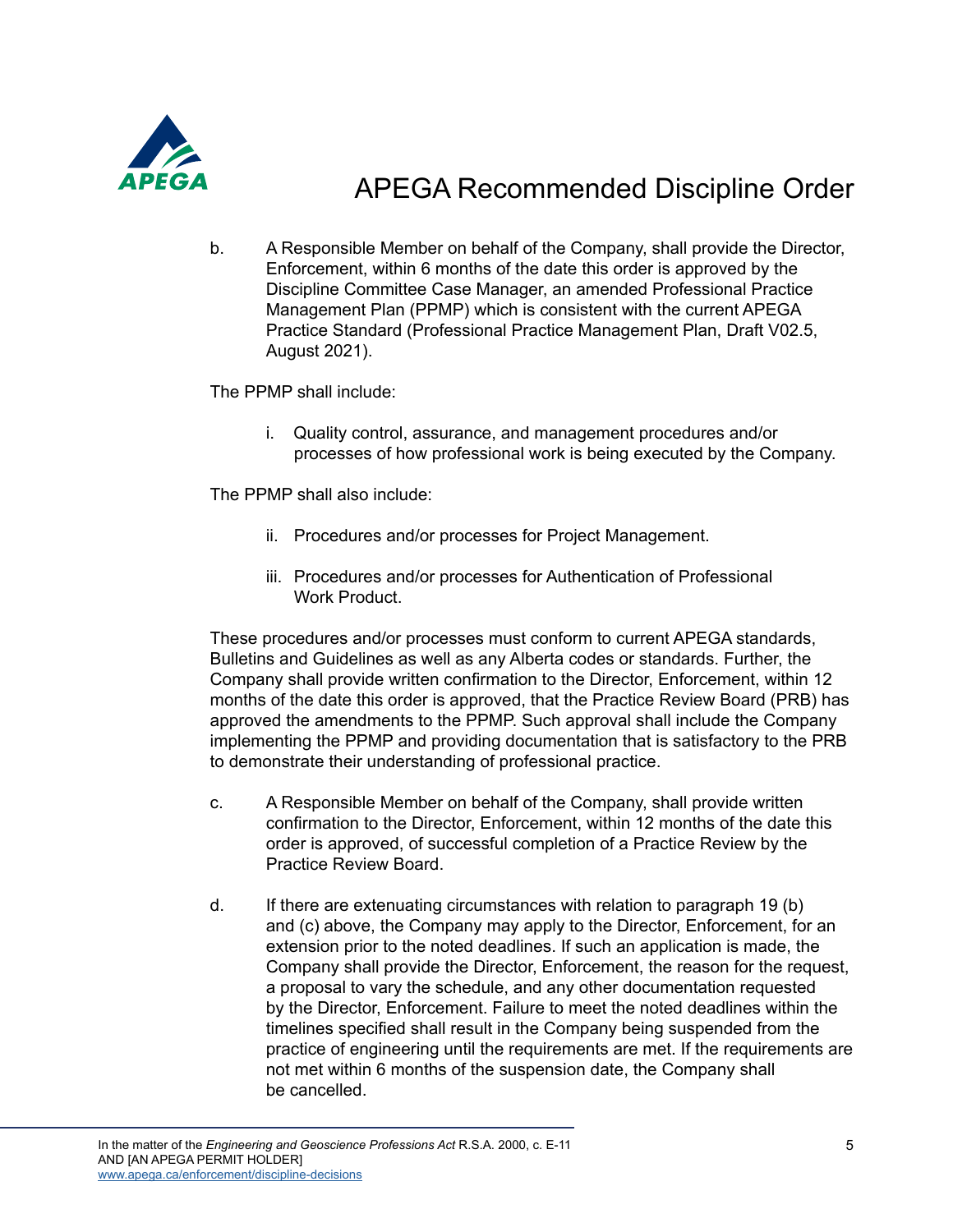

b. A Responsible Member on behalf of the Company, shall provide the Director, Enforcement, within 6 months of the date this order is approved by the Discipline Committee Case Manager, an amended Professional Practice Management Plan (PPMP) which is consistent with the current APEGA Practice Standard (Professional Practice Management Plan, Draft V02.5, August 2021).

The PPMP shall include:

i. Quality control, assurance, and management procedures and/or processes of how professional work is being executed by the Company.

The PPMP shall also include:

- ii. Procedures and/or processes for Project Management.
- iii. Procedures and/or processes for Authentication of Professional Work Product.

These procedures and/or processes must conform to current APEGA standards, Bulletins and Guidelines as well as any Alberta codes or standards. Further, the Company shall provide written confirmation to the Director, Enforcement, within 12 months of the date this order is approved, that the Practice Review Board (PRB) has approved the amendments to the PPMP. Such approval shall include the Company implementing the PPMP and providing documentation that is satisfactory to the PRB to demonstrate their understanding of professional practice.

- c. A Responsible Member on behalf of the Company, shall provide written confirmation to the Director, Enforcement, within 12 months of the date this order is approved, of successful completion of a Practice Review by the Practice Review Board.
- d. If there are extenuating circumstances with relation to paragraph 19 (b) and (c) above, the Company may apply to the Director, Enforcement, for an extension prior to the noted deadlines. If such an application is made, the Company shall provide the Director, Enforcement, the reason for the request, a proposal to vary the schedule, and any other documentation requested by the Director, Enforcement. Failure to meet the noted deadlines within the timelines specified shall result in the Company being suspended from the practice of engineering until the requirements are met. If the requirements are not met within 6 months of the suspension date, the Company shall be cancelled.